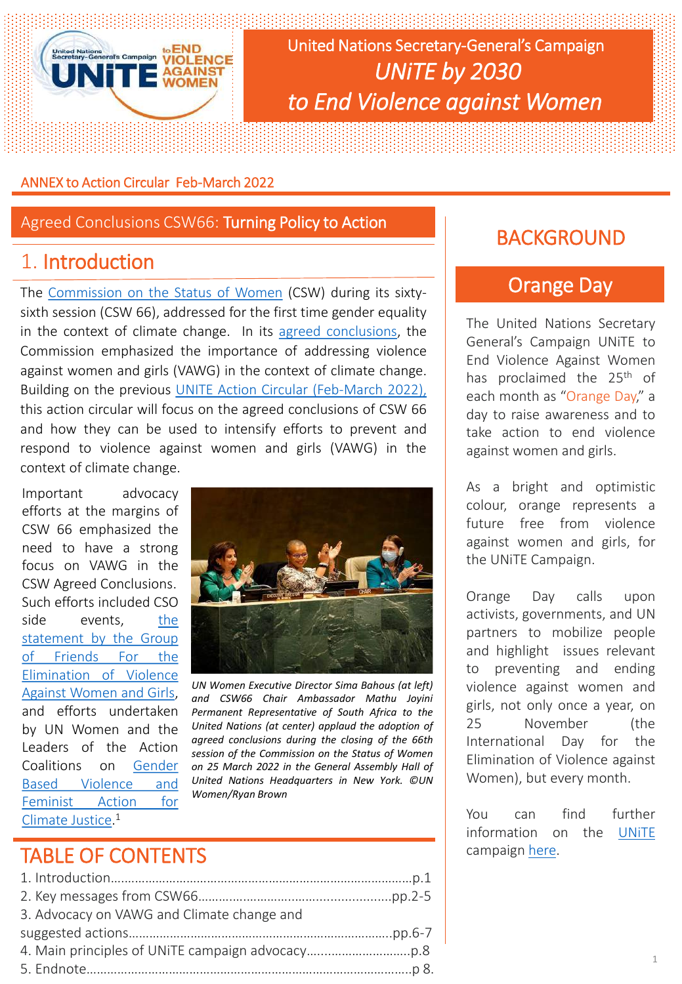

United Nations Secretary-General's Campaign *UNiTE by 2030 to End Violence against Women*

#### ANNEX to Action Circular Feb-March 2022

Agreed Conclusions CSW66: Turning Policy to Action

### 1. Introduction

The [Commission](https://www.unwomen.org/en/csw#:~:text=The%20Commission%20on%20the%20Status,II)%20of%2021%20June%201946.) on the Status of Women (CSW) during its sixtysixth session (CSW 66), addressed for the first time gender equality in the context of climate change. In its agreed [conclusions,](https://www.unwomen.org/sites/default/files/2022-03/CSW66%20Agreed%20Conclusions_Advance%20unedited%20version_25%20March%202022.pdf) the Commission emphasized the importance of addressing violence against women and girls (VAWG) in the context of climate change. Building on the previous UNITE Action Circular [\(Feb-March](https://www.unwomen.org/sites/default/files/2022-02/UNiTE-campaign-action-circular-February-March-2022-en.pdf) 2022), this action circular will focus on the agreed conclusions of CSW 66 and how they can be used to intensify efforts to prevent and respond to violence against women and girls (VAWG) in the context of climate change.

Important advocacy efforts at the margins of CSW 66 emphasized the need to have a strong focus on VAWG in the CSW Agreed Conclusions. Such efforts included CSO side events, the statement by the Group of Friends For the [Elimination](https://www.eeas.europa.eu/delegations/un-new-york/statement-group-friends-elimination-violence-against-women-and-girls-%E2%80%93-66th_en) of Violence Against Women and Girls, and efforts undertaken by UN Women and the Leaders of the Action [Coalitions](https://forum.generationequality.org/action-coalitions) on Gender Based Violence and Feminist Action for Climate Justice. 1



*UN Women Executive Director Sima Bahous (at left) and CSW66 Chair Ambassador Mathu Joyini Permanent Representative of South Africa to the United Nations (at center) applaud the adoption of agreed conclusions during the closing of the 66th session of the Commission on the Status of Women on 25 March 2022 in the General Assembly Hall of United Nations Headquarters in New York. ©UN Women/Ryan Brown*

## TABLE OF CONTENTS

| 3. Advocacy on VAWG and Climate change and |  |
|--------------------------------------------|--|
|                                            |  |
|                                            |  |
|                                            |  |

# **BACKGROUND**

#### Orange Day

The United Nations Secretary General's Campaign UNiTE to End Violence Against Women has proclaimed the 25<sup>th</sup> of each month as "Orange Day," a day to raise awareness and to take action to end violence against women and girls.

As a bright and optimistic colour, orange represents a future free from violence against women and girls, for the UNiTE Campaign.

Orange Day calls upon activists, governments, and UN partners to mobilize people and highlight issues relevant to preventing and ending violence against women and girls, not only once a year, on 25 November (the International Day for the Elimination of Violence against Women), but every month.

You can find further information on the [UNiTE](https://www.unwomen.org/en/what-we-do/ending-violence-against-women/take-action/unite) campaign [here.](https://www.unwomen.org/en/what-we-do/ending-violence-against-women/take-action/unite)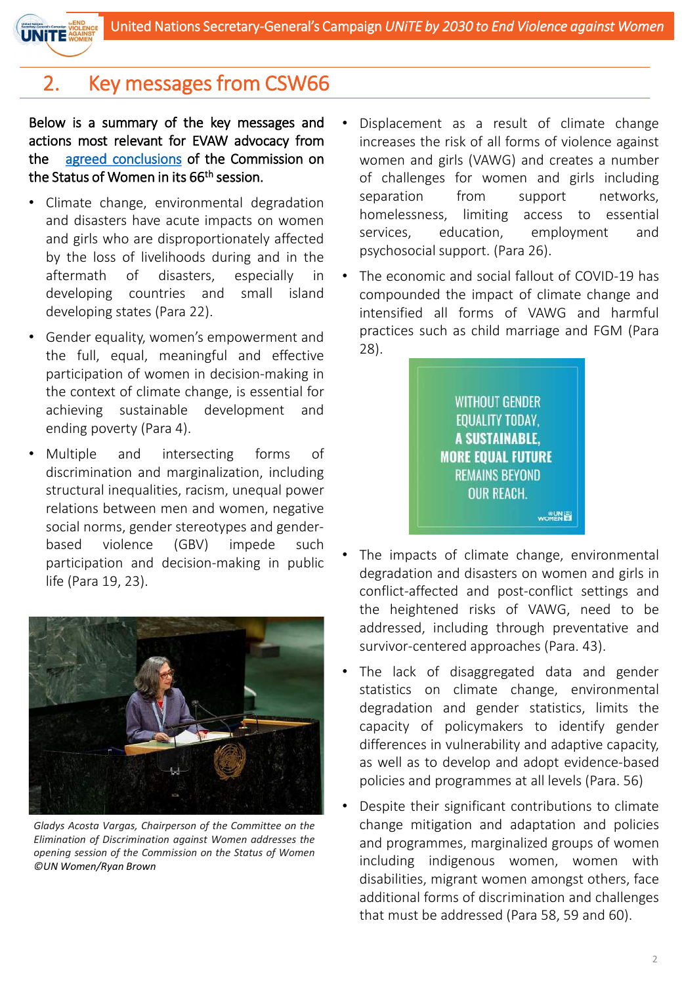

### 2. Key messages from CSW66

Below is a summary of the key messages and actions most relevant for EVAW advocacy from the agreed [conclusions](https://www.undocs.org/Home/Mobile?FinalSymbol=E%2FCN.6%2F2022%2FL.7&Language=E&DeviceType=Desktop&LangRequested=False) of the Commission on the Status of Women in its 66th session.

- Climate change, environmental degradation and disasters have acute impacts on women and girls who are disproportionately affected by the loss of livelihoods during and in the aftermath of disasters, especially in developing countries and small island developing states (Para 22).
- Gender equality, women's empowerment and the full, equal, meaningful and effective participation of women in decision-making in the context of climate change, is essential for achieving sustainable development and ending poverty (Para 4).
- Multiple and intersecting forms of discrimination and marginalization, including structural inequalities, racism, unequal power relations between men and women, negative social norms, gender stereotypes and genderbased violence (GBV) impede such participation and decision-making in public life (Para 19, 23).



*Gladys Acosta Vargas, Chairperson of the Committee on the Elimination of Discrimination against Women addresses the opening session of the Commission on the Status of Women ©UN Women/Ryan Brown*

- Displacement as a result of climate change increases the risk of all forms of violence against women and girls (VAWG) and creates a number of challenges for women and girls including separation from support networks, homelessness, limiting access to essential services, education, employment and psychosocial support. (Para 26).
- The economic and social fallout of COVID-19 has compounded the impact of climate change and intensified all forms of VAWG and harmful practices such as child marriage and FGM (Para 28).



- The impacts of climate change, environmental degradation and disasters on women and girls in conflict-affected and post-conflict settings and the heightened risks of VAWG, need to be addressed, including through preventative and survivor-centered approaches (Para. 43).
- The lack of disaggregated data and gender statistics on climate change, environmental degradation and gender statistics, limits the capacity of policymakers to identify gender differences in vulnerability and adaptive capacity, as well as to develop and adopt evidence-based policies and programmes at all levels (Para. 56)
- Despite their significant contributions to climate change mitigation and adaptation and policies and programmes, marginalized groups of women including indigenous women, women with disabilities, migrant women amongst others, face additional forms of discrimination and challenges that must be addressed (Para 58, 59 and 60).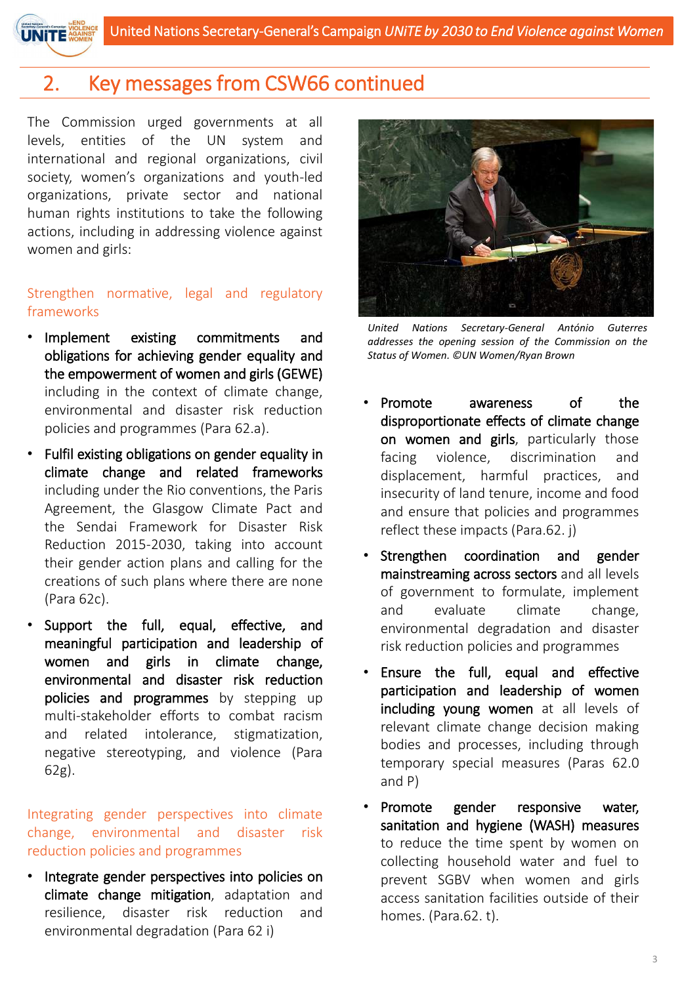

### 2. Key messages from CSW66 continued

The Commission urged governments at all levels, entities of the UN system and international and regional organizations, civil society, women's organizations and youth-led organizations, private sector and national human rights institutions to take the following actions, including in addressing violence against women and girls:

#### Strengthen normative, legal and regulatory frameworks

- Implement existing commitments and obligations for achieving gender equality and the empowerment of women and girls (GEWE) including in the context of climate change, environmental and disaster risk reduction policies and programmes (Para 62.a).
- Fulfil existing obligations on gender equality in climate change and related frameworks including under the Rio conventions, the Paris Agreement, the Glasgow Climate Pact and the Sendai Framework for Disaster Risk Reduction 2015-2030, taking into account their gender action plans and calling for the creations of such plans where there are none (Para 62c).
- Support the full, equal, effective, and meaningful participation and leadership of women and girls in climate change, environmental and disaster risk reduction policies and programmes by stepping up multi-stakeholder efforts to combat racism and related intolerance, stigmatization, negative stereotyping, and violence (Para 62g).

#### Integrating gender perspectives into climate change, environmental and disaster risk reduction policies and programmes

Integrate gender perspectives into policies on climate change mitigation, adaptation and resilience, disaster risk reduction and environmental degradation (Para 62 i)



*United Nations Secretary-General António Guterres addresses the opening session of the Commission on the Status of Women. ©UN Women/Ryan Brown*

- Promote awareness of the disproportionate effects of climate change on women and girls, particularly those facing violence, discrimination and displacement, harmful practices, and insecurity of land tenure, income and food and ensure that policies and programmes reflect these impacts (Para.62. j)
- Strengthen coordination and gender mainstreaming across sectors and all levels of government to formulate, implement and evaluate climate change, environmental degradation and disaster risk reduction policies and programmes
- Ensure the full, equal and effective participation and leadership of women including young women at all levels of relevant climate change decision making bodies and processes, including through temporary special measures (Paras 62.0 and P)
- Promote gender responsive water, sanitation and hygiene (WASH) measures to reduce the time spent by women on collecting household water and fuel to prevent SGBV when women and girls access sanitation facilities outside of their homes. (Para.62. t).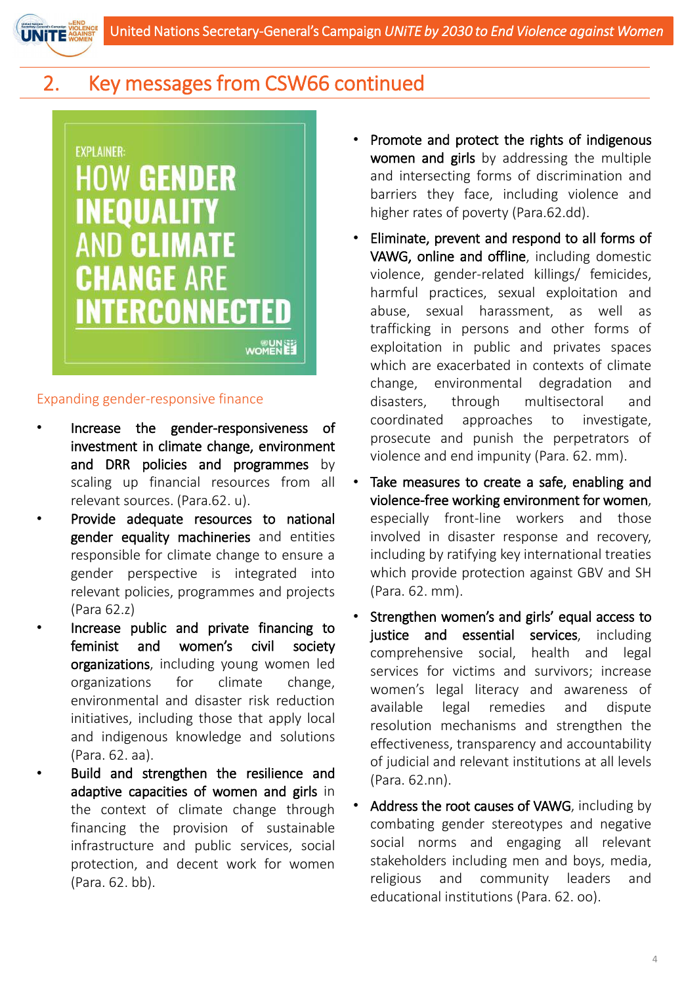

### 2. Key messages from CSW66 continued



#### Expanding gender-responsive finance

- Increase the gender-responsiveness of investment in climate change, environment and DRR policies and programmes by scaling up financial resources from all relevant sources. (Para.62. u).
- Provide adequate resources to national gender equality machineries and entities responsible for climate change to ensure a gender perspective is integrated into relevant policies, programmes and projects (Para 62.z)
- Increase public and private financing to feminist and women's civil society organizations, including young women led organizations for climate change, environmental and disaster risk reduction initiatives, including those that apply local and indigenous knowledge and solutions (Para. 62. aa).
	- Build and strengthen the resilience and adaptive capacities of women and girls in the context of climate change through financing the provision of sustainable infrastructure and public services, social protection, and decent work for women (Para. 62. bb).
- Promote and protect the rights of indigenous women and girls by addressing the multiple and intersecting forms of discrimination and barriers they face, including violence and higher rates of poverty (Para.62.dd).
- Eliminate, prevent and respond to all forms of VAWG, online and offline, including domestic violence, gender-related killings/ femicides, harmful practices, sexual exploitation and abuse, sexual harassment, as well as trafficking in persons and other forms of exploitation in public and privates spaces which are exacerbated in contexts of climate change, environmental degradation and disasters, through multisectoral and coordinated approaches to investigate, prosecute and punish the perpetrators of violence and end impunity (Para. 62. mm).
- Take measures to create a safe, enabling and violence-free working environment for women, especially front-line workers and those involved in disaster response and recovery, including by ratifying key international treaties which provide protection against GBV and SH (Para. 62. mm).
- Strengthen women's and girls' equal access to justice and essential services, including comprehensive social, health and legal services for victims and survivors; increase women's legal literacy and awareness of available legal remedies and dispute resolution mechanisms and strengthen the effectiveness, transparency and accountability of judicial and relevant institutions at all levels (Para. 62.nn).
- Address the root causes of VAWG, including by combating gender stereotypes and negative social norms and engaging all relevant stakeholders including men and boys, media, religious and community leaders and educational institutions (Para. 62. oo).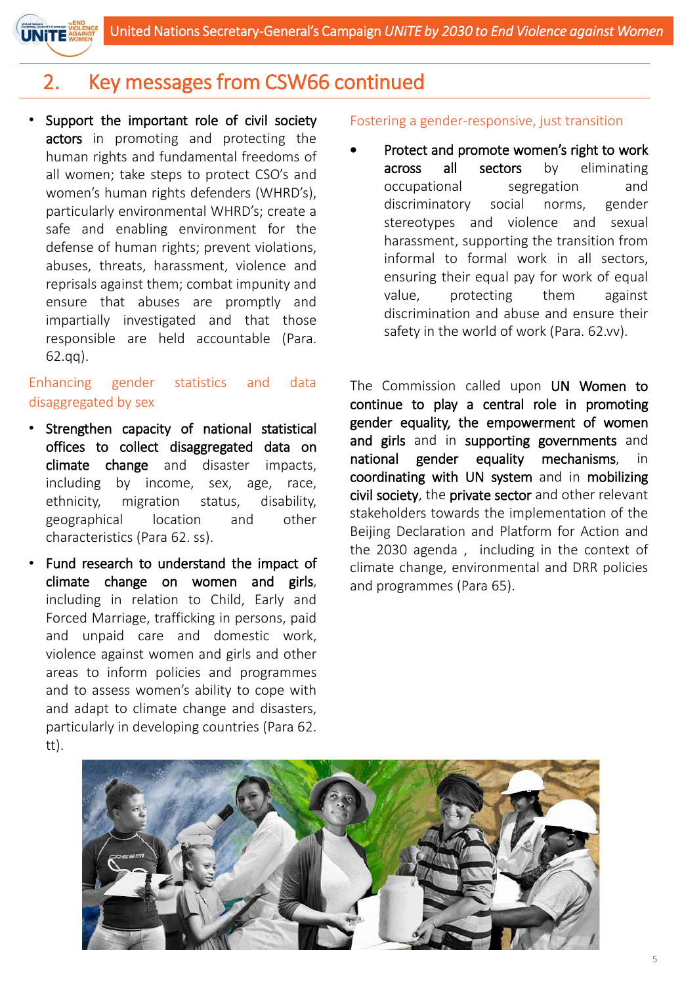

## 2. Key messages from CSW66 continued

• Support the important role of civil society actors in promoting and protecting the human rights and fundamental freedoms of all women; take steps to protect CSO's and women's human rights defenders (WHRD's), particularly environmental WHRD's; create a safe and enabling environment for the defense of human rights; prevent violations, abuses, threats, harassment, violence and reprisals against them; combat impunity and ensure that abuses are promptly and impartially investigated and that those responsible are held accountable (Para. 62.qq).

Enhancing gender statistics and data disaggregated by sex

- Strengthen capacity of national statistical offices to collect disaggregated data on climate change and disaster impacts, including by income, sex, age, race, ethnicity, migration status, disability, geographical location and other characteristics (Para 62. ss).
- Fund research to understand the impact of climate change on women and girls, including in relation to Child, Early and Forced Marriage, trafficking in persons, paid and unpaid care and domestic work, violence against women and girls and other areas to inform policies and programmes and to assess women's ability to cope with and adapt to climate change and disasters, particularly in developing countries (Para 62. tt).

#### Fostering a gender-responsive, just transition

• Protect and promote women's right to work across all sectors by eliminating occupational segregation and discriminatory social norms, gender stereotypes and violence and sexual harassment, supporting the transition from informal to formal work in all sectors, ensuring their equal pay for work of equal value, protecting them against discrimination and abuse and ensure their safety in the world of work (Para. 62.vv).

The Commission called upon UN Women to continue to play a central role in promoting gender equality, the empowerment of women and girls and in supporting governments and national gender equality mechanisms, in coordinating with UN system and in mobilizing civil society, the private sector and other relevant stakeholders towards the implementation of the Beijing Declaration and Platform for Action and the 2030 agenda , including in the context of climate change, environmental and DRR policies and programmes (Para 65).

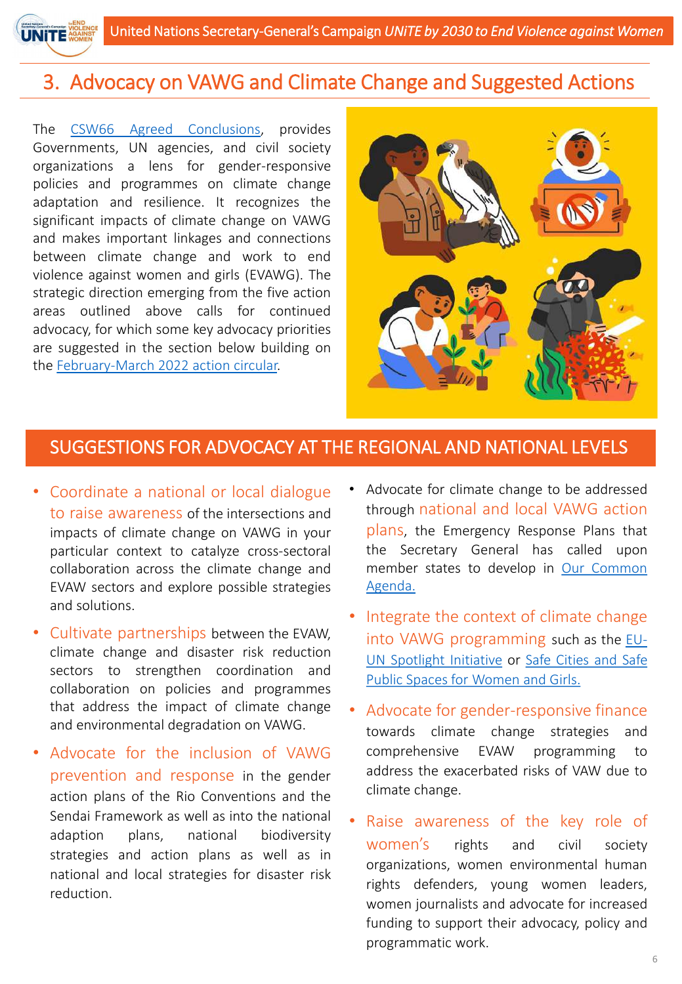

#### 3. Advocacy on VAWG and Climate Change and Suggested Actions

The CSW66 Agreed [Conclusions](https://www.unwomen.org/sites/default/files/2022-03/CSW66%20Agreed%20Conclusions_Advance%20unedited%20version_25%20March%202022.pdf), provides Governments, UN agencies, and civil society organizations a lens for gender-responsive policies and programmes on climate change adaptation and resilience. It recognizes the significant impacts of climate change on VAWG and makes important linkages and connections between climate change and work to end violence against women and girls (EVAWG). The strategic direction emerging from the five action areas outlined above calls for continued advocacy, for which some key advocacy priorities are suggested in the section below building on the [February-March](https://www.unwomen.org/sites/default/files/2022-02/UNiTE-campaign-action-circular-February-March-2022-en.pdf) 2022 action circular.



#### SUGGESTIONS FOR ADVOCACY AT THE REGIONAL AND NATIONAL LEVELS

- Coordinate a national or local dialogue to raise awareness of the intersections and impacts of climate change on VAWG in your particular context to catalyze cross-sectoral collaboration across the climate change and EVAW sectors and explore possible strategies and solutions.
- Cultivate partnerships between the EVAW, climate change and disaster risk reduction sectors to strengthen coordination and collaboration on policies and programmes that address the impact of climate change and environmental degradation on VAWG.
- Advocate for the inclusion of VAWG prevention and response in the gender action plans of the Rio Conventions and the Sendai Framework as well as into the national adaption plans, national biodiversity strategies and action plans as well as in national and local strategies for disaster risk reduction.
- Advocate for climate change to be addressed through national and local VAWG action plans, the Emergency Response Plans that the Secretary General has called upon member states to develop in Our [Common](https://www.un.org/en/content/common-agenda-report/) Agenda.
- Integrate the context of climate change into VAWG [programming](https://www.spotlightinitiative.org/) such as the EU-UN [Spotlight](https://www.unwomen.org/en/what-we-do/ending-violence-against-women/creating-safe-public-spaces) Initiative or Safe Cities and Safe Public Spaces for Women and Girls.
- Advocate for gender-responsive finance towards climate change strategies and comprehensive EVAW programming address the exacerbated risks of VAW due to climate change.
- Raise awareness of the key role of women's rights and civil society organizations, women environmental human rights defenders, young women leaders, women journalists and advocate for increased funding to support their advocacy, policy and programmatic work.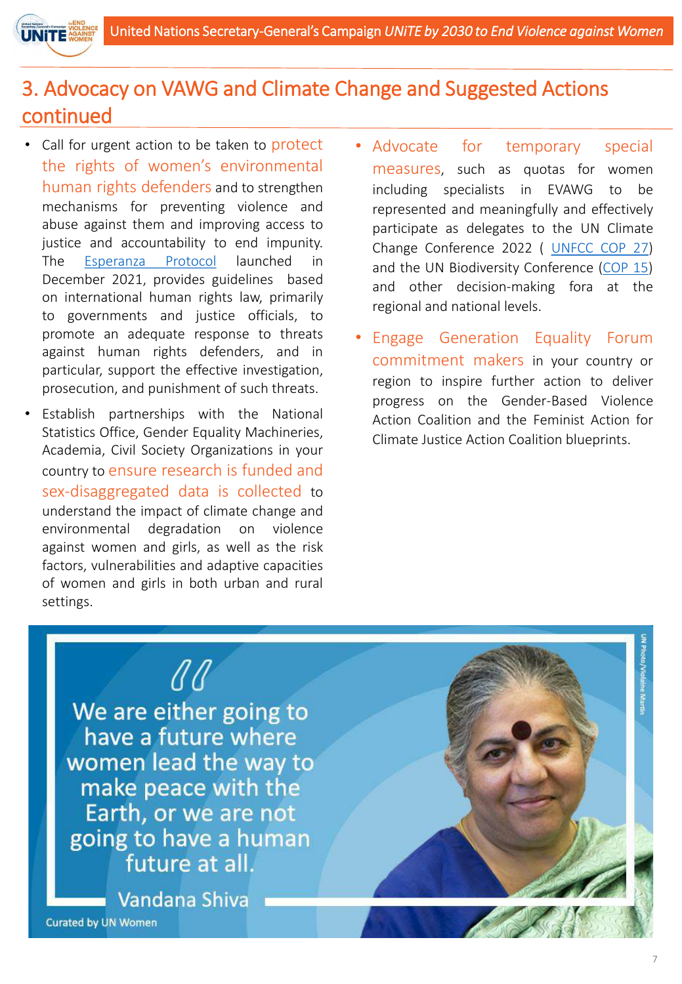

# 3. Advocacy on VAWG and Climate Change and Suggested Actions continued

- Call for urgent action to be taken to protect the rights of women's environmental human rights defenders and to strengthen mechanisms for preventing violence and abuse against them and improving access to justice and accountability to end impunity. The [Esperanza](https://esperanzaprotocol.net/wp-content/uploads/2021/12/AN-EFFECTIVE-RESPONSE-DIC-16.pdf?x97536&x58469) Protocol launched in December 2021, provides guidelines based on international human rights law, primarily to governments and justice officials, to promote an adequate response to threats against human rights defenders, and in particular, support the effective investigation, prosecution, and punishment of such threats.
- Establish partnerships with the National Statistics Office, Gender Equality Machineries, Academia, Civil Society Organizations in your country to ensure research is funded and sex-disaggregated data is collected to understand the impact of climate change and environmental degradation on violence against women and girls, as well as the risk factors, vulnerabilities and adaptive capacities of women and girls in both urban and rural settings.
- Advocate for temporary special measures, such as quotas for women including specialists in EVAWG to be represented and meaningfully and effectively participate as delegates to the UN Climate Change Conference 2022 ( [UNFCC](https://sdg.iisd.org/events/2021-un-climate-change-conference-unfccc-cop-27/) COP 27) and the UN Biodiversity Conference [\(COP](https://www.unep.org/events/conference/un-biodiversity-conference-cop-15) 15) and other decision-making fora at the regional and national levels.
- Engage Generation Equality Forum commitment makers in your country or region to inspire further action to deliver progress on the Gender-Based Violence Action Coalition and the Feminist Action for Climate Justice Action Coalition blueprints.